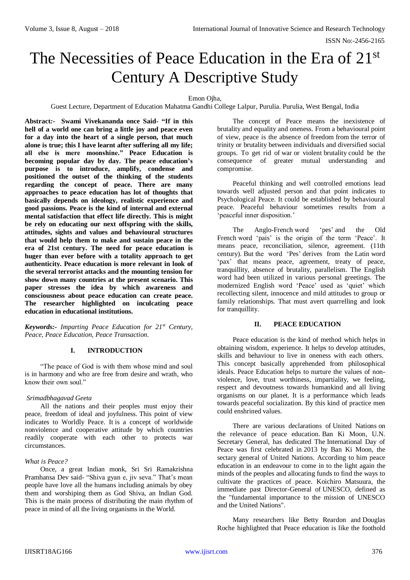ISSN No:-2456-2165

# The Necessities of Peace Education in the Era of 21<sup>st</sup> Century A Descriptive Study

### Emon Ojha,

Guest Lecture, Department of Education Mahatma Gandhi College Lalpur, Purulia. Purulia, West Bengal, India

**Abstract***:-* **Swami Vivekananda once Said- "If in this hell of a world one can bring a little joy and peace even for a day into the heart of a single person, that much alone is true; this I have learnt after suffering all my life; all else is mere moonshine." Peace Education is becoming popular day by day. The peace education's purpose is to introduce, amplify, condense and positioned the outset of the thinking of the students regarding the concept of peace. There are many approaches to peace education has lot of thoughts that basically depends on ideology, realistic experience and good passions. Peace is the kind of internal and external mental satisfaction that effect life directly. This is might be rely on educating our next offspring with the skills, attitudes, sights and values and behavioural structures that would help them to make and sustain peace in the era of 21st century. The need for peace education is huger than ever before with a totality approach to get authenticity. Peace education is more relevant in look of the several terrorist attacks and the mounting tension for show down many countries at the present scenario. This paper stresses the idea by which awareness and consciousness about peace education can create peace. The researcher highlighted on inculcating peace education in educational institutions.**

*Keywords:- Imparting Peace Education for 21st Century, Peace, Peace Education, Peace Transaction.*

# **I. INTRODUCTION**

"The peace of God is with them whose mind and soul is in harmony and who are free from desire and wrath, who know their own soul."

#### *Srimadbhagavad Geeta*

All the nations and their peoples must enjoy their peace, freedom of ideal and joyfulness. This point of view indicates to Worldly Peace. It is a concept of worldwide nonviolence and cooperative attitude by which countries readily cooperate with each other to protects war circumstances.

#### *What is Peace?*

Once, a great Indian monk, Sri Sri Ramakrishna Pramhansa Dev said- "Shiva gyan e, jiv seva." That's mean people have love all the humans including animals by obey them and worshiping them as God Shiva, an Indian God. This is the main process of distributing the main rhythm of peace in mind of all the living organisms in the World.

The concept of Peace means the inexistence of brutality and equality and oneness. From a behavioural point of view, peace is the absence of freedom from the terror of trinity or brutality between individuals and diversified social groups. To get rid of war or violent brutality could be the consequence of greater mutual understanding and compromise.

Peaceful thinking and well controlled emotions lead towards well adjusted person and that point indicates to Psychological Peace. It could be established by behavioural peace. Peaceful behaviour sometimes results from a 'peaceful inner disposition.'

The Anglo-French word 'pes' and the Old French word 'pais' is the origin of the term 'Peace'. It means peace, reconciliation, silence, agreement. (11th century). But the word 'Pes' derives from the Latin word 'pax' that means peace, agreement, treaty of peace, tranquillity, absence of brutality, parallelism. The English word had been utilized in various personal greetings. The modernized English word 'Peace' used as 'quiet' which recollecting silent, innocence and mild attitudes to group or family relationships. That must avert quarrelling and look for tranquillity.

# **II. PEACE EDUCATION**

Peace education is the kind of method which helps in obtaining wisdom, experience. It helps to develop attitudes, skills and behaviour to live in oneness with each others. This concept basically apprehended from philosophical ideals. Peace Education helps to nurture the values of nonviolence, love, trust worthiness, impartiality, we feeling, respect and devoutness towards humankind and all living organisms on our planet. It is a performance which leads towards peaceful socialization. By this kind of practice men could enshrined values.

There are various declarations of United Nations on the relevance of peace education. Ban Ki Moon, U.N. Secretary General, has dedicated The International Day of Peace was first celebrated in 2013 by Ban Ki Moon, the sectary general of United Nations. According to him peace education in an endeavour to come in to the light again the minds of the peoples and allocating funds to find the ways to cultivate the practices of peace. Koichiro Matsuura, the immediate past Director-General of UNESCO, defined as the "fundamental importance to the mission of UNESCO and the United Nations".

Many researchers like Betty Reardon and Douglas Roche highlighted that Peace education is like the foothold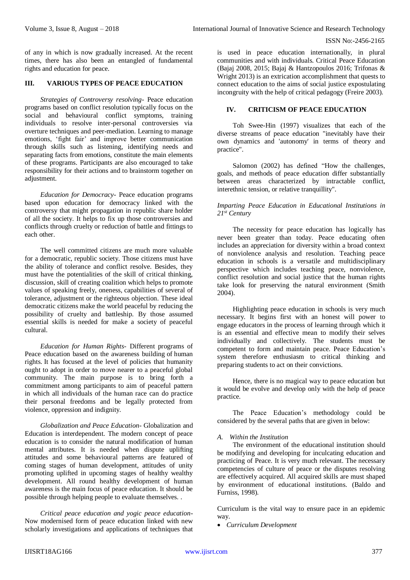of any in which is now gradually increased. At the recent times, there has also been an entangled of fundamental rights and education for peace.

# **III. VARIOUS TYPES OF PEACE EDUCATION**

*Strategies of Controversy resolving-* Peace education programs based on conflict resolution typically focus on the social and behavioural conflict symptoms, training individuals to resolve inter-personal controversies via overture techniques and peer-mediation. Learning to manage emotions, 'fight fair' and improve better communication through skills such as listening, identifying needs and separating facts from emotions, constitute the main elements of these programs. Participants are also encouraged to take responsibility for their actions and to brainstorm together on adjustment.

*Education for Democracy-* Peace education programs based upon education for democracy linked with the controversy that might propagation in republic share holder of all the society. It helps to fix up those controversies and conflicts through cruelty or reduction of battle and fittings to each other.

The well committed citizens are much more valuable for a democratic, republic society. Those citizens must have the ability of tolerance and conflict resolve. Besides, they must have the potentialities of the skill of critical thinking, discussion, skill of creating coalition which helps to promote values of speaking freely, oneness, capabilities of several of tolerance, adjustment or the righteous objection. These ideal democratic citizens make the world peaceful by reducing the possibility of cruelty and battleship. By those assumed essential skills is needed for make a society of peaceful cultural.

*Education for Human Rights-* Different programs of Peace education based on the awareness building of human rights. It has focused at the level of policies that humanity ought to adopt in order to move nearer to a peaceful global community. The main purpose is to bring forth a commitment among participants to aim of peaceful pattern in which all individuals of the human race can do practice their personal freedoms and be legally protected from violence, oppression and indignity.

*Globalization and Peace Education-* Globalization and Education is interdependent. The modern concept of peace education is to consider the natural modification of human mental attributes. It is needed when dispute uplifting attitudes and some behavioural patterns are featured of coming stages of human development, attitudes of unity promoting uplifted in upcoming stages of healthy wealthy development. All round healthy development of human awareness is the main focus of peace education. It should be possible through helping people to evaluate themselves. .

*Critical peace education and yogic peace education-*Now modernised form of peace education linked with new scholarly investigations and applications of techniques that is used in peace education internationally, in plural communities and with individuals. Critical Peace Education (Bajaj 2008, 2015; Bajaj & Hantzopoulos 2016; Trifonas & Wright 2013) is an extrication accomplishment that quests to connect education to the aims of social justice expostulating incongruity with the help of critical pedagogy (Freire 2003).

# **IV. CRITICISM OF PEACE EDUCATION**

Toh Swee-Hin (1997) visualizes that each of the diverse streams of peace education "inevitably have their own dynamics and 'autonomy' in terms of theory and practice".

Salomon (2002) has defined "How the challenges, goals, and methods of peace education differ substantially between areas characterized by intractable conflict, interethnic tension, or relative tranquillity".

## *Imparting Peace Education in Educational Institutions in 21st Century*

The necessity for peace education has logically has never been greater than today. Peace educating often includes an appreciation for diversity within a broad context of nonviolence analysis and resolution. Teaching peace education in schools is a versatile and multidisciplinary perspective which includes teaching peace, nonviolence, conflict resolution and social justice that the human rights take look for preserving the natural environment (Smith 2004).

Highlighting peace education in schools is very much necessary. It begins first with an honest will power to engage educators in the process of learning through which it is an essential and effective mean to modify their selves individually and collectively. The students must be competent to form and maintain peace. Peace Education's system therefore enthusiasm to critical thinking and preparing students to act on their convictions.

Hence, there is no magical way to peace education but it would be evolve and develop only with the help of peace practice.

The Peace Education's methodology could be considered by the several paths that are given in below:

#### *A. Within the Institution*

The environment of the educational institution should be modifying and developing for inculcating education and practicing of Peace. It is very much relevant. The necessary competencies of culture of peace or the disputes resolving are effectively acquired. All acquired skills are must shaped by environment of educational institutions. (Baldo and Furniss, 1998).

Curriculum is the vital way to ensure pace in an epidemic way.

*Curriculum Development*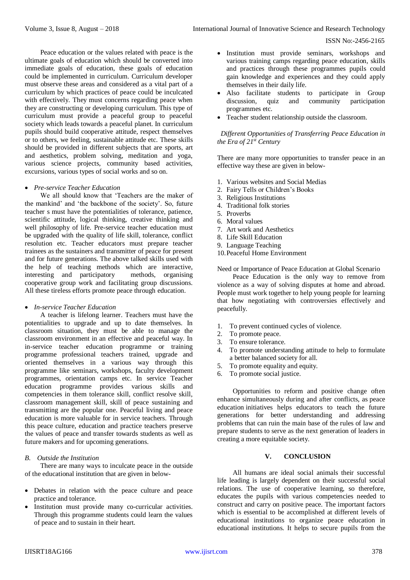ISSN No:-2456-2165

Peace education or the values related with peace is the ultimate goals of education which should be converted into immediate goals of education, these goals of education could be implemented in curriculum. Curriculum developer must observe these areas and considered as a vital part of a curriculum by which practices of peace could be inculcated with effectively. They must concerns regarding peace when they are constructing or developing curriculum. This type of curriculum must provide a peaceful group to peaceful society which leads towards a peaceful planet. In curriculum pupils should build cooperative attitude, respect themselves or to others, we feeling, sustainable attitude etc. These skills should be provided in different subjects that are sports, art and aesthetics, problem solving, meditation and yoga, various science projects, community based activities, excursions, various types of social works and so on.

## *Pre-service Teacher Education*

We all should know that 'Teachers are the maker of the mankind' and 'the backbone of the society'. So, future teacher s must have the potentialities of tolerance, patience, scientific attitude, logical thinking, creative thinking and well philosophy of life. Pre-service teacher education must be upgraded with the quality of life skill, tolerance, conflict resolution etc. Teacher educators must prepare teacher trainees as the sustainers and transmitter of peace for present and for future generations. The above talked skills used with the help of teaching methods which are interactive, interesting and participatory methods, organising cooperative group work and facilitating group discussions. All these tireless efforts promote peace through education.

#### *In-service Teacher Education*

A teacher is lifelong learner. Teachers must have the potentialities to upgrade and up to date themselves. In classroom situation, they must be able to manage the classroom environment in an effective and peaceful way. In in-service teacher education programme or training programme professional teachers trained, upgrade and oriented themselves in a various way through this programme like seminars, workshops, faculty development programmes, orientation camps etc. In service Teacher education programme provides various skills and competencies in them tolerance skill, conflict resolve skill, classroom management skill, skill of peace sustaining and transmitting are the popular one. Peaceful living and peace education is more valuable for in service teachers. Through this peace culture, education and practice teachers preserve the values of peace and transfer towards students as well as future makers and for upcoming generations.

#### *B. Outside the Institution*

There are many ways to inculcate peace in the outside of the educational institution that are given in below-

- Debates in relation with the peace culture and peace practice and tolerance.
- Institution must provide many co-curricular activities. Through this programme students could learn the values of peace and to sustain in their heart.
- Institution must provide seminars, workshops and various training camps regarding peace education, skills and practices through these programmes pupils could gain knowledge and experiences and they could apply themselves in their daily life.
- Also facilitate students to participate in Group discussion, quiz and community participation programmes etc.
- Teacher student relationship outside the classroom.

# *Different Opportunities of Transferring Peace Education in the Era of 21st Century*

There are many more opportunities to transfer peace in an effective way these are given in below-

- 1. Various websites and Social Medias
- 2. Fairy Tells or Children's Books
- 3. Religious Institutions
- 4. Traditional folk stories
- 5. Proverbs
- 6. Moral values
- 7. Art work and Aesthetics
- 8. Life Skill Education
- 9. Language Teaching
- 10.Peaceful Home Environment

Need or Importance of Peace Education at Global Scenario

Peace Education is the only way to remove from violence as a way of solving disputes at home and abroad. People must work together to help young people for learning that how negotiating with controversies effectively and peacefully.

- 1. To prevent continued cycles of violence.
- 2. To promote peace.
- 3. To ensure tolerance.
- 4. To promote understanding attitude to help to formulate a better balanced society for all.
- 5. To promote equality and equity.
- 6. To promote social justice.

Opportunities to reform and positive change often enhance simultaneously during and after conflicts, as peace education initiatives helps educators to teach the future generations for better understanding and addressing problems that can ruin the main base of the rules of law and prepare students to serve as the next generation of leaders in creating a more equitable society.

# **V. CONCLUSION**

All humans are ideal social animals their successful life leading is largely dependent on their successful social relations. The use of cooperative learning, so therefore, educates the pupils with various competencies needed to construct and carry on positive peace. The important factors which is essential to be accomplished at different levels of educational institutions to organize peace education in educational institutions. It helps to secure pupils from the